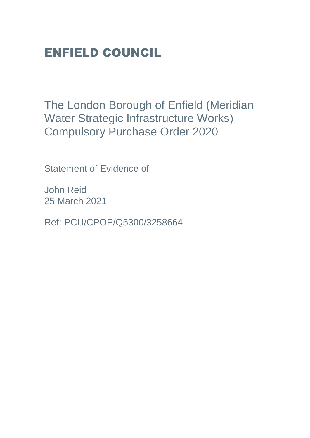# ENFIELD COUNCIL

The London Borough of Enfield (Meridian Water Strategic Infrastructure Works) Compulsory Purchase Order 2020

Statement of Evidence of

John Reid 25 March 2021

Ref: PCU/CPOP/Q5300/3258664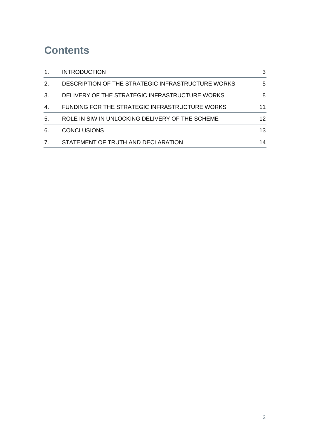### **Contents**

|    | <b>INTRODUCTION</b>                               | 3  |
|----|---------------------------------------------------|----|
| 2. | DESCRIPTION OF THE STRATEGIC INFRASTRUCTURE WORKS | 5  |
| 3. | DELIVERY OF THE STRATEGIC INFRASTRUCTURE WORKS    | 8  |
| 4. | FUNDING FOR THE STRATEGIC INFRASTRUCTURE WORKS    | 11 |
| 5. | ROLE IN SIW IN UNLOCKING DELIVERY OF THE SCHEME   | 12 |
| 6. | <b>CONCLUSIONS</b>                                | 13 |
|    | STATEMENT OF TRUTH AND DECLARATION                | 14 |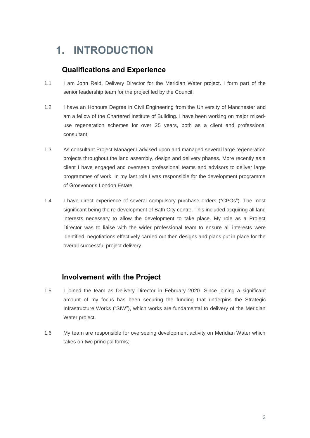## <span id="page-2-0"></span>**1. INTRODUCTION**

### **Qualifications and Experience**

- 1.1 I am John Reid, Delivery Director for the Meridian Water project. I form part of the senior leadership team for the project led by the Council.
- 1.2 I have an Honours Degree in Civil Engineering from the University of Manchester and am a fellow of the Chartered Institute of Building. I have been working on major mixeduse regeneration schemes for over 25 years, both as a client and professional consultant.
- 1.3 As consultant Project Manager I advised upon and managed several large regeneration projects throughout the land assembly, design and delivery phases. More recently as a client I have engaged and overseen professional teams and advisors to deliver large programmes of work. In my last role I was responsible for the development programme of Grosvenor's London Estate.
- 1.4 I have direct experience of several compulsory purchase orders ("CPOs"). The most significant being the re-development of Bath City centre. This included acquiring all land interests necessary to allow the development to take place. My role as a Project Director was to liaise with the wider professional team to ensure all interests were identified, negotiations effectively carried out then designs and plans put in place for the overall successful project delivery.

#### **Involvement with the Project**

- 1.5 I joined the team as Delivery Director in February 2020. Since joining a significant amount of my focus has been securing the funding that underpins the Strategic Infrastructure Works ("SIW"), which works are fundamental to delivery of the Meridian Water project.
- 1.6 My team are responsible for overseeing development activity on Meridian Water which takes on two principal forms;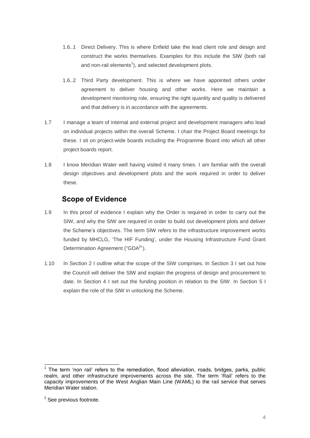- 1.6..1 Direct Delivery. This is where Enfield take the lead client role and design and construct the works themselves. Examples for this include the SIW (both rail and non-rail elements $^1$ ), and selected development plots.
- 1.6..2 Third Party development. This is where we have appointed others under agreement to deliver housing and other works. Here we maintain a development monitoring role, ensuring the right quantity and quality is delivered and that delivery is in accordance with the agreements.
- 1.7 I manage a team of internal and external project and development managers who lead on individual projects within the overall Scheme. I chair the Project Board meetings for these. I sit on project-wide boards including the Programme Board into which all other project boards report.
- 1.8 I know Meridian Water well having visited it many times. I am familiar with the overall design objectives and development plots and the work required in order to deliver these.

### **Scope of Evidence**

- 1.9 In this proof of evidence I explain why the Order is required in order to carry out the SIW, and why the SIW are required in order to build out development plots and deliver the Scheme's objectives. The term SIW refers to the infrastructure improvement works funded by MHCLG, 'The HIF Funding', under the Housing Infrastructure Fund Grant Determination Agreement ("GDA<sup>2</sup>").
- 1.10 In Section 2 I outline what the scope of the SIW comprises. In Section 3 I set out how the Council will deliver the SIW and explain the progress of design and procurement to date. In Section 4 I set out the funding position in relation to the SIW. In Section 5 I explain the role of the SIW in unlocking the Scheme.

The term 'non rail' refers to the remediation, flood alleviation, roads, bridges, parks, public realm, and other infrastructure improvements across the site. The term 'Rail' refers to the capacity improvements of the West Anglian Main Line (WAML) to the rail service that serves Meridian Water station.

<sup>&</sup>lt;sup>2</sup> See previous footnote.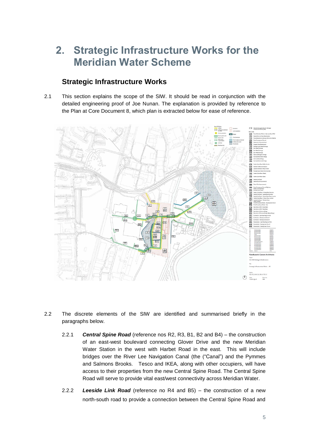## **2. Strategic Infrastructure Works for the Meridian Water Scheme**

### **Strategic Infrastructure Works**

2.1 This section explains the scope of the SIW. It should be read in conjunction with the detailed engineering proof of Joe Nunan. The explanation is provided by reference to the Plan at Core Document 8, which plan is extracted below for ease of reference.



- 2.2 The discrete elements of the SIW are identified and summarised briefly in the paragraphs below.
	- 2.2.1 *Central Spine Road* (reference nos R2, R3, B1, B2 and B4) the construction of an east-west boulevard connecting Glover Drive and the new Meridian Water Station in the west with Harbet Road in the east. This will include bridges over the River Lee Navigation Canal (the ("Canal") and the Pymmes and Salmons Brooks. Tesco and IKEA, along with other occupiers, will have access to their properties from the new Central Spine Road. The Central Spine Road will serve to provide vital east/west connectivity across Meridian Water.
	- 2.2.2 *Leeside Link Road* (reference no R4 and B5) the construction of a new north-south road to provide a connection between the Central Spine Road and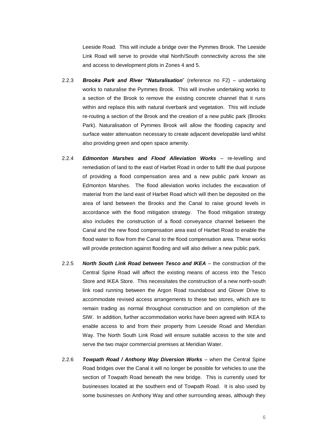Leeside Road. This will include a bridge over the Pymmes Brook. The Leeside Link Road will serve to provide vital North/South connectivity across the site and access to development plots in Zones 4 and 5.

- 2.2.3 *Brooks Park and River "Naturalisation*" (reference no F2) undertaking works to naturalise the Pymmes Brook. This will involve undertaking works to a section of the Brook to remove the existing concrete channel that it runs within and replace this with natural riverbank and vegetation. This will include re-routing a section of the Brook and the creation of a new public park (Brooks Park). Naturalisation of Pymmes Brook will allow the flooding capacity and surface water attenuation necessary to create adjacent developable land whilst also providing green and open space amenity.
- 2.2.4 *Edmonton Marshes and Flood Alleviation Works* re-levelling and remediation of land to the east of Harbet Road in order to fulfil the dual purpose of providing a flood compensation area and a new public park known as Edmonton Marshes. The flood alleviation works includes the excavation of material from the land east of Harbet Road which will then be deposited on the area of land between the Brooks and the Canal to raise ground levels in accordance with the flood mitigation strategy. The flood mitigation strategy also includes the construction of a flood conveyance channel between the Canal and the new flood compensation area east of Harbet Road to enable the flood water to flow from the Canal to the flood compensation area. These works will provide protection against flooding and will also deliver a new public park.
- 2.2.5 *North South Link Road between Tesco and IKEA* the construction of the Central Spine Road will affect the existing means of access into the Tesco Store and IKEA Store. This necessitates the construction of a new north-south link road running between the Argon Road roundabout and Glover Drive to accommodate revised access arrangements to these two stores, which are to remain trading as normal throughout construction and on completion of the SIW. In addition, further accommodation works have been agreed with IKEA to enable access to and from their property from Leeside Road and Meridian Way. The North South Link Road will ensure suitable access to the site and serve the two major commercial premises at Meridian Water.
- 2.2.6 *Towpath Road / Anthony Way Diversion Works* when the Central Spine Road bridges over the Canal it will no longer be possible for vehicles to use the section of Towpath Road beneath the new bridge. This is currently used for businesses located at the southern end of Towpath Road. It is also used by some businesses on Anthony Way and other surrounding areas, although they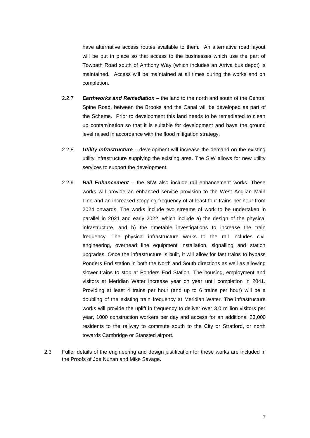have alternative access routes available to them. An alternative road layout will be put in place so that access to the businesses which use the part of Towpath Road south of Anthony Way (which includes an Arriva bus depot) is maintained. Access will be maintained at all times during the works and on completion.

- 2.2.7 *Earthworks and Remediation* the land to the north and south of the Central Spine Road, between the Brooks and the Canal will be developed as part of the Scheme. Prior to development this land needs to be remediated to clean up contamination so that it is suitable for development and have the ground level raised in accordance with the flood mitigation strategy.
- 2.2.8 *Utility Infrastructure*  development will increase the demand on the existing utility infrastructure supplying the existing area. The SIW allows for new utility services to support the development.
- 2.2.9 *Rail Enhancement* the SIW also include rail enhancement works. These works will provide an enhanced service provision to the West Anglian Main Line and an increased stopping frequency of at least four trains per hour from 2024 onwards. The works include two streams of work to be undertaken in parallel in 2021 and early 2022, which include a) the design of the physical infrastructure, and b) the timetable investigations to increase the train frequency. The physical infrastructure works to the rail includes civil engineering, overhead line equipment installation, signalling and station upgrades. Once the infrastructure is built, it will allow for fast trains to bypass Ponders End station in both the North and South directions as well as allowing slower trains to stop at Ponders End Station. The housing, employment and visitors at Meridian Water increase year on year until completion in 2041. Providing at least 4 trains per hour (and up to 6 trains per hour) will be a doubling of the existing train frequency at Meridian Water. The infrastructure works will provide the uplift in frequency to deliver over 3.0 million visitors per year, 1000 construction workers per day and access for an additional 23,000 residents to the railway to commute south to the City or Stratford, or north towards Cambridge or Stansted airport.
- 2.3 Fuller details of the engineering and design justification for these works are included in the Proofs of Joe Nunan and Mike Savage.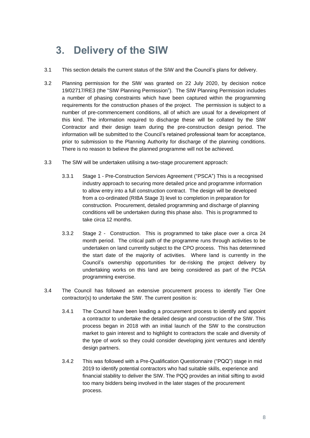## **3. Delivery of the SIW**

- 3.1 This section details the current status of the SIW and the Council's plans for delivery.
- 3.2 Planning permission for the SIW was granted on 22 July 2020, by decision notice 19/02717/RE3 (the "SIW Planning Permission"). The SIW Planning Permission includes a number of phasing constraints which have been captured within the programming requirements for the construction phases of the project. The permission is subject to a number of pre-commencement conditions, all of which are usual for a development of this kind. The information required to discharge these will be collated by the SIW Contractor and their design team during the pre-construction design period. The information will be submitted to the Council's retained professional team for acceptance, prior to submission to the Planning Authority for discharge of the planning conditions. There is no reason to believe the planned programme will not be achieved.
- 3.3 The SIW will be undertaken utilising a two-stage procurement approach:
	- 3.3.1 Stage 1 Pre-Construction Services Agreement ("PSCA") This is a recognised industry approach to securing more detailed price and programme information to allow entry into a full construction contract. The design will be developed from a co-ordinated (RIBA Stage 3) level to completion in preparation for construction. Procurement, detailed programming and discharge of planning conditions will be undertaken during this phase also. This is programmed to take circa 12 months.
	- 3.3.2 Stage 2 Construction. This is programmed to take place over a circa 24 month period. The critical path of the programme runs through activities to be undertaken on land currently subject to the CPO process. This has determined the start date of the majority of activities. Where land is currently in the Council's ownership opportunities for de-risking the project delivery by undertaking works on this land are being considered as part of the PCSA programming exercise.
- 3.4 The Council has followed an extensive procurement process to identify Tier One contractor(s) to undertake the SIW. The current position is:
	- 3.4.1 The Council have been leading a procurement process to identify and appoint a contractor to undertake the detailed design and construction of the SIW. This process began in 2018 with an initial launch of the SIW to the construction market to gain interest and to highlight to contractors the scale and diversity of the type of work so they could consider developing joint ventures and identify design partners.
	- 3.4.2 This was followed with a Pre-Qualification Questionnaire ("PQQ") stage in mid 2019 to identify potential contractors who had suitable skills, experience and financial stability to deliver the SIW. The PQQ provides an initial sifting to avoid too many bidders being involved in the later stages of the procurement process.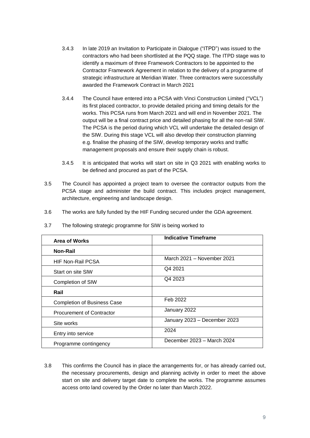- 3.4.3 In late 2019 an Invitation to Participate in Dialogue ("ITPD") was issued to the contractors who had been shortlisted at the PQQ stage. The ITPD stage was to identify a maximum of three Framework Contractors to be appointed to the Contractor Framework Agreement in relation to the delivery of a programme of strategic infrastructure at Meridian Water. Three contractors were successfully awarded the Framework Contract in March 2021
- 3.4.4 The Council have entered into a PCSA with Vinci Construction Limited ("VCL") its first placed contractor, to provide detailed pricing and timing details for the works. This PCSA runs from March 2021 and will end in November 2021. The output will be a final contract price and detailed phasing for all the non-rail SIW. The PCSA is the period during which VCL will undertake the detailed design of the SIW. During this stage VCL will also develop their construction planning e.g. finalise the phasing of the SIW, develop temporary works and traffic management proposals and ensure their supply chain is robust.
- 3.4.5 It is anticipated that works will start on site in Q3 2021 with enabling works to be defined and procured as part of the PCSA.
- 3.5 The Council has appointed a project team to oversee the contractor outputs from the PCSA stage and administer the build contract. This includes project management, architecture, engineering and landscape design.
- 3.6 The works are fully funded by the HIF Funding secured under the GDA agreement.

| <b>Area of Works</b>               | <b>Indicative Timeframe</b>  |
|------------------------------------|------------------------------|
| Non-Rail                           |                              |
| <b>HIF Non-Rail PCSA</b>           | March 2021 - November 2021   |
| Start on site SIW                  | Q4 2021                      |
| Completion of SIW                  | Q4 2023                      |
| Rail                               |                              |
| <b>Completion of Business Case</b> | Feb 2022                     |
| <b>Procurement of Contractor</b>   | January 2022                 |
| Site works                         | January 2023 - December 2023 |
| Entry into service                 | 2024                         |
| Programme contingency              | December 2023 - March 2024   |

3.7 The following strategic programme for SIW is being worked to

3.8 This confirms the Council has in place the arrangements for, or has already carried out, the necessary procurements, design and planning activity in order to meet the above start on site and delivery target date to complete the works. The programme assumes access onto land covered by the Order no later than March 2022.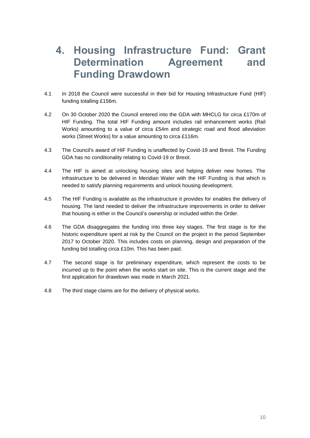## **4. Housing Infrastructure Fund: Grant Determination Agreement and Funding Drawdown**

- 4.1 In 2018 the Council were successful in their bid for Housing Infrastructure Fund (HIF) funding totalling £156m.
- 4.2 On 30 October 2020 the Council entered into the GDA with MHCLG for circa £170m of HIF Funding. The total HIF Funding amount includes rail enhancement works (Rail Works) amounting to a value of circa £54m and strategic road and flood alleviation works (Street Works) for a value amounting to circa £116m.
- 4.3 The Council's award of HIF Funding is unaffected by Covid-19 and Brexit. The Funding GDA has no conditionality relating to Covid-19 or Brexit.
- 4.4 The HIF is aimed at unlocking housing sites and helping deliver new homes. The infrastructure to be delivered in Meridian Water with the HIF Funding is that which is needed to satisfy planning requirements and unlock housing development.
- 4.5 The HIF Funding is available as the infrastructure it provides for enables the delivery of housing. The land needed to deliver the infrastructure improvements in order to deliver that housing is either in the Council's ownership or included within the Order.
- 4.6 The GDA disaggregates the funding into three key stages. The first stage is for the historic expenditure spent at risk by the Council on the project in the period September 2017 to October 2020. This includes costs on planning, design and preparation of the funding bid totalling circa £10m. This has been paid.
- 4.7 The second stage is for preliminary expenditure, which represent the costs to be incurred up to the point when the works start on site. This is the current stage and the first application for drawdown was made in March 2021.
- 4.8 The third stage claims are for the delivery of physical works.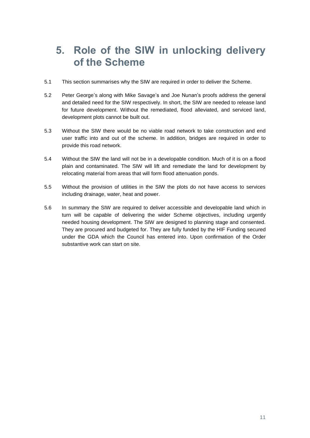### **5. Role of the SIW in unlocking delivery of the Scheme**

- 5.1 This section summarises why the SIW are required in order to deliver the Scheme.
- 5.2 Peter George's along with Mike Savage's and Joe Nunan's proofs address the general and detailed need for the SIW respectively. In short, the SIW are needed to release land for future development. Without the remediated, flood alleviated, and serviced land, development plots cannot be built out.
- 5.3 Without the SIW there would be no viable road network to take construction and end user traffic into and out of the scheme. In addition, bridges are required in order to provide this road network.
- 5.4 Without the SIW the land will not be in a developable condition. Much of it is on a flood plain and contaminated. The SIW will lift and remediate the land for development by relocating material from areas that will form flood attenuation ponds.
- 5.5 Without the provision of utilities in the SIW the plots do not have access to services including drainage, water, heat and power.
- <span id="page-10-0"></span>5.6 In summary the SIW are required to deliver accessible and developable land which in turn will be capable of delivering the wider Scheme objectives, including urgently needed housing development. The SIW are designed to planning stage and consented. They are procured and budgeted for. They are fully funded by the HIF Funding secured under the GDA which the Council has entered into. Upon confirmation of the Order substantive work can start on site.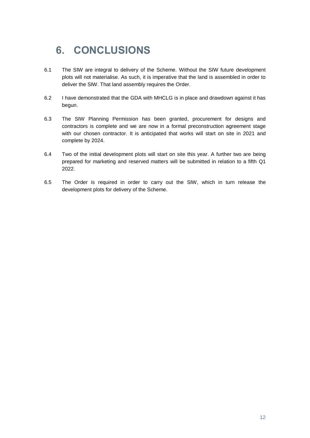# **6. CONCLUSIONS**

- 6.1 The SIW are integral to delivery of the Scheme. Without the SIW future development plots will not materialise. As such, it is imperative that the land is assembled in order to deliver the SIW. That land assembly requires the Order.
- 6.2 I have demonstrated that the GDA with MHCLG is in place and drawdown against it has begun.
- 6.3 The SIW Planning Permission has been granted, procurement for designs and contractors is complete and we are now in a formal preconstruction agreement stage with our chosen contractor. It is anticipated that works will start on site in 2021 and complete by 2024.
- 6.4 Two of the initial development plots will start on site this year. A further two are being prepared for marketing and reserved matters will be submitted in relation to a fifth Q1 2022.
- 6.5 The Order is required in order to carry out the SIW, which in turn release the development plots for delivery of the Scheme.